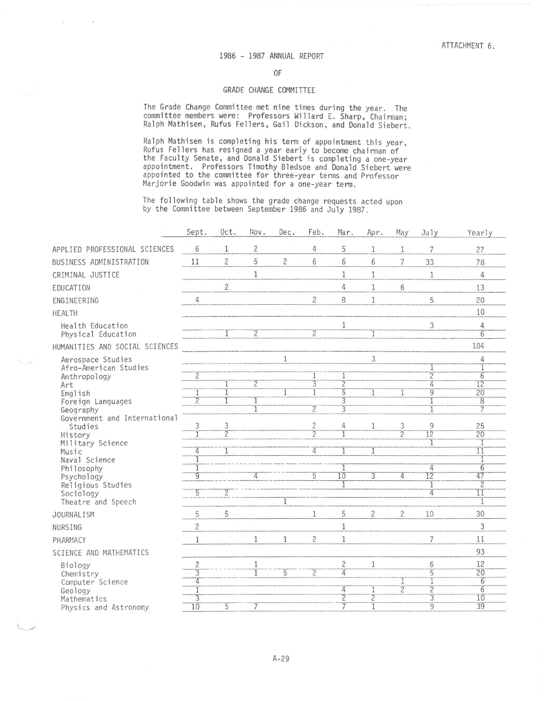## 1986 - 1987 ANNUAL REPORT

OF

## GRADE CHANGE COMMITTEE

The Grade Change Committee met nine times during the year. The committee members were: Professors Willard E. Sharp, Chairman; Ralph Mathisen, Rufus Fellers, Gail Dickson, and Donald Siebert.

Ralph Mathisen is completing his term of appointment this year, Rufus Fellers has resigned a year early to become chairman of the Faculty Senate, and Donald Siebert is completing a one-year appointment. Professors Timothy Bledsoe and Donald Siebert were appointed to the committee for three-year terms and Professor Marjorie Goodwin was appointed for a one-year tenn.

The following table shows the grade change requests acted upon by the Committee between September 1986 and July 1987.

| $\overline{c}$<br>5<br>6<br>1<br>4<br>APPLIED PROFESSIONAL SCIENCES<br>1<br>$\mathbf{1}$<br>7<br>27<br>5<br>$\overline{c}$<br>$\overline{c}$<br>6<br>6<br>11<br>6<br>BUSINESS ADMINISTRATION<br>$\overline{7}$<br>33<br>78<br>1<br>$\mathbf{1}$<br>$\mathbf 1$<br>CRIMINAL JUSTICE<br>$\overline{4}$<br>1<br>$\overline{c}$<br>4<br>6<br>$\mathbf{1}$<br>13<br>EDUCATION<br>$\overline{c}$<br>8<br>5<br>$\overline{4}$<br>$1\,$<br>20<br>ENGINEERING<br>10<br><b>HEALTH</b><br>1<br>3<br>Health Education<br>$\overline{4}$<br>$\overline{2}$<br>$\overline{2}$<br>$\overline{6}$<br>$\overline{1}$<br>Physical Education<br>184<br>HUMANITIES AND SOCIAL SCIENCES<br>$\,1$<br>3<br>Aerospace Studies<br>4<br>Afro-American Studies<br>$\overline{2}$<br>$\overline{2}$<br>$\overline{6}$<br>Anthropology<br>$\overline{3}$<br>$\overline{2}$<br>$\overline{2}$<br>12<br>4<br>Art<br>5<br>$\overline{20}$<br>$\overline{9}$<br>1<br>1<br>1<br>English<br>1<br>1<br>$\overline{2}$<br>$\overline{3}$<br>$\overline{8}$<br>Foreign Languages<br>$\overline{2}$<br>$\overline{3}$<br>7<br>Geography<br>1<br>Government and International<br>$\overline{c}$<br>3<br>3<br>4<br>3<br>9<br>25<br>Studies<br>1<br>$\overline{2}$<br>$\overline{2}$<br>$\overline{2}$<br>12<br>20<br>History<br>Military Science<br>1<br>4<br>$\overline{11}$<br>4<br>1<br>Music<br>1<br>Naval Science<br>$\overline{6}$<br>4<br>Philosophy<br>$\overline{9}$<br>10<br>47<br>$\overline{3}$<br>$\overline{12}$<br>4<br>4<br>5<br>Psychology<br>$\overline{2}$<br>Religious Studies<br>$\overline{2}$<br>$\overline{5}$<br>$\overline{4}$<br>$\overline{11}$<br>Sociology<br>Theatre and Speech<br>1<br>1<br>5<br>5<br>5<br>2<br>$\overline{c}$<br>30<br>10<br>1<br>JOURNALISM<br>$\overline{c}$<br>3<br>1<br><b>NURSING</b><br>$\overline{c}$<br>$\mathbf{1}$<br>$\mathbf{1}$<br>1<br>$\overline{7}$<br>11<br>1<br>PHARMACY<br>93<br>SCIENCE AND MATHEMATICS<br>$\overline{c}$<br>12<br>2<br>6<br>1<br>1<br>Biology<br>$\overline{5}$<br>$\overline{20}$<br>$\overline{4}$<br>$\overline{3}$<br>5<br>$\overline{c}$<br>Chemistry<br>T<br>6<br>4<br>Computer Science<br>$\overline{2}$<br>$\overline{6}$<br>$\overline{2}$<br>4<br>Geology<br>$\overline{2}$<br>$\overline{2}$<br>$\overline{3}$<br>10<br>3<br>Mathematics<br>39<br>$\overline{7}$<br>$\overline{g}$<br>$\overline{10}$<br>$\overline{5}$<br>$\overline{1}$<br>Physics and Astronomy | Sept. | Oct. | Nov. | Dec. | Feb. | Mar. | Apr. | May | July | Yearly |
|----------------------------------------------------------------------------------------------------------------------------------------------------------------------------------------------------------------------------------------------------------------------------------------------------------------------------------------------------------------------------------------------------------------------------------------------------------------------------------------------------------------------------------------------------------------------------------------------------------------------------------------------------------------------------------------------------------------------------------------------------------------------------------------------------------------------------------------------------------------------------------------------------------------------------------------------------------------------------------------------------------------------------------------------------------------------------------------------------------------------------------------------------------------------------------------------------------------------------------------------------------------------------------------------------------------------------------------------------------------------------------------------------------------------------------------------------------------------------------------------------------------------------------------------------------------------------------------------------------------------------------------------------------------------------------------------------------------------------------------------------------------------------------------------------------------------------------------------------------------------------------------------------------------------------------------------------------------------------------------------------------------------------------------------------------------------------------------------------------------------------------------------------------------------------------------------------------------------------------------------------------------------------------------------------------------------------------------------------------------------------------------------------------------------------|-------|------|------|------|------|------|------|-----|------|--------|
|                                                                                                                                                                                                                                                                                                                                                                                                                                                                                                                                                                                                                                                                                                                                                                                                                                                                                                                                                                                                                                                                                                                                                                                                                                                                                                                                                                                                                                                                                                                                                                                                                                                                                                                                                                                                                                                                                                                                                                                                                                                                                                                                                                                                                                                                                                                                                                                                                            |       |      |      |      |      |      |      |     |      |        |
|                                                                                                                                                                                                                                                                                                                                                                                                                                                                                                                                                                                                                                                                                                                                                                                                                                                                                                                                                                                                                                                                                                                                                                                                                                                                                                                                                                                                                                                                                                                                                                                                                                                                                                                                                                                                                                                                                                                                                                                                                                                                                                                                                                                                                                                                                                                                                                                                                            |       |      |      |      |      |      |      |     |      |        |
|                                                                                                                                                                                                                                                                                                                                                                                                                                                                                                                                                                                                                                                                                                                                                                                                                                                                                                                                                                                                                                                                                                                                                                                                                                                                                                                                                                                                                                                                                                                                                                                                                                                                                                                                                                                                                                                                                                                                                                                                                                                                                                                                                                                                                                                                                                                                                                                                                            |       |      |      |      |      |      |      |     |      |        |
|                                                                                                                                                                                                                                                                                                                                                                                                                                                                                                                                                                                                                                                                                                                                                                                                                                                                                                                                                                                                                                                                                                                                                                                                                                                                                                                                                                                                                                                                                                                                                                                                                                                                                                                                                                                                                                                                                                                                                                                                                                                                                                                                                                                                                                                                                                                                                                                                                            |       |      |      |      |      |      |      |     |      |        |
|                                                                                                                                                                                                                                                                                                                                                                                                                                                                                                                                                                                                                                                                                                                                                                                                                                                                                                                                                                                                                                                                                                                                                                                                                                                                                                                                                                                                                                                                                                                                                                                                                                                                                                                                                                                                                                                                                                                                                                                                                                                                                                                                                                                                                                                                                                                                                                                                                            |       |      |      |      |      |      |      |     |      |        |
|                                                                                                                                                                                                                                                                                                                                                                                                                                                                                                                                                                                                                                                                                                                                                                                                                                                                                                                                                                                                                                                                                                                                                                                                                                                                                                                                                                                                                                                                                                                                                                                                                                                                                                                                                                                                                                                                                                                                                                                                                                                                                                                                                                                                                                                                                                                                                                                                                            |       |      |      |      |      |      |      |     |      |        |
|                                                                                                                                                                                                                                                                                                                                                                                                                                                                                                                                                                                                                                                                                                                                                                                                                                                                                                                                                                                                                                                                                                                                                                                                                                                                                                                                                                                                                                                                                                                                                                                                                                                                                                                                                                                                                                                                                                                                                                                                                                                                                                                                                                                                                                                                                                                                                                                                                            |       |      |      |      |      |      |      |     |      |        |
|                                                                                                                                                                                                                                                                                                                                                                                                                                                                                                                                                                                                                                                                                                                                                                                                                                                                                                                                                                                                                                                                                                                                                                                                                                                                                                                                                                                                                                                                                                                                                                                                                                                                                                                                                                                                                                                                                                                                                                                                                                                                                                                                                                                                                                                                                                                                                                                                                            |       |      |      |      |      |      |      |     |      |        |
|                                                                                                                                                                                                                                                                                                                                                                                                                                                                                                                                                                                                                                                                                                                                                                                                                                                                                                                                                                                                                                                                                                                                                                                                                                                                                                                                                                                                                                                                                                                                                                                                                                                                                                                                                                                                                                                                                                                                                                                                                                                                                                                                                                                                                                                                                                                                                                                                                            |       |      |      |      |      |      |      |     |      |        |
|                                                                                                                                                                                                                                                                                                                                                                                                                                                                                                                                                                                                                                                                                                                                                                                                                                                                                                                                                                                                                                                                                                                                                                                                                                                                                                                                                                                                                                                                                                                                                                                                                                                                                                                                                                                                                                                                                                                                                                                                                                                                                                                                                                                                                                                                                                                                                                                                                            |       |      |      |      |      |      |      |     |      |        |
|                                                                                                                                                                                                                                                                                                                                                                                                                                                                                                                                                                                                                                                                                                                                                                                                                                                                                                                                                                                                                                                                                                                                                                                                                                                                                                                                                                                                                                                                                                                                                                                                                                                                                                                                                                                                                                                                                                                                                                                                                                                                                                                                                                                                                                                                                                                                                                                                                            |       |      |      |      |      |      |      |     |      |        |
|                                                                                                                                                                                                                                                                                                                                                                                                                                                                                                                                                                                                                                                                                                                                                                                                                                                                                                                                                                                                                                                                                                                                                                                                                                                                                                                                                                                                                                                                                                                                                                                                                                                                                                                                                                                                                                                                                                                                                                                                                                                                                                                                                                                                                                                                                                                                                                                                                            |       |      |      |      |      |      |      |     |      |        |
|                                                                                                                                                                                                                                                                                                                                                                                                                                                                                                                                                                                                                                                                                                                                                                                                                                                                                                                                                                                                                                                                                                                                                                                                                                                                                                                                                                                                                                                                                                                                                                                                                                                                                                                                                                                                                                                                                                                                                                                                                                                                                                                                                                                                                                                                                                                                                                                                                            |       |      |      |      |      |      |      |     |      |        |
|                                                                                                                                                                                                                                                                                                                                                                                                                                                                                                                                                                                                                                                                                                                                                                                                                                                                                                                                                                                                                                                                                                                                                                                                                                                                                                                                                                                                                                                                                                                                                                                                                                                                                                                                                                                                                                                                                                                                                                                                                                                                                                                                                                                                                                                                                                                                                                                                                            |       |      |      |      |      |      |      |     |      |        |
|                                                                                                                                                                                                                                                                                                                                                                                                                                                                                                                                                                                                                                                                                                                                                                                                                                                                                                                                                                                                                                                                                                                                                                                                                                                                                                                                                                                                                                                                                                                                                                                                                                                                                                                                                                                                                                                                                                                                                                                                                                                                                                                                                                                                                                                                                                                                                                                                                            |       |      |      |      |      |      |      |     |      |        |
|                                                                                                                                                                                                                                                                                                                                                                                                                                                                                                                                                                                                                                                                                                                                                                                                                                                                                                                                                                                                                                                                                                                                                                                                                                                                                                                                                                                                                                                                                                                                                                                                                                                                                                                                                                                                                                                                                                                                                                                                                                                                                                                                                                                                                                                                                                                                                                                                                            |       |      |      |      |      |      |      |     |      |        |
|                                                                                                                                                                                                                                                                                                                                                                                                                                                                                                                                                                                                                                                                                                                                                                                                                                                                                                                                                                                                                                                                                                                                                                                                                                                                                                                                                                                                                                                                                                                                                                                                                                                                                                                                                                                                                                                                                                                                                                                                                                                                                                                                                                                                                                                                                                                                                                                                                            |       |      |      |      |      |      |      |     |      |        |
|                                                                                                                                                                                                                                                                                                                                                                                                                                                                                                                                                                                                                                                                                                                                                                                                                                                                                                                                                                                                                                                                                                                                                                                                                                                                                                                                                                                                                                                                                                                                                                                                                                                                                                                                                                                                                                                                                                                                                                                                                                                                                                                                                                                                                                                                                                                                                                                                                            |       |      |      |      |      |      |      |     |      |        |
|                                                                                                                                                                                                                                                                                                                                                                                                                                                                                                                                                                                                                                                                                                                                                                                                                                                                                                                                                                                                                                                                                                                                                                                                                                                                                                                                                                                                                                                                                                                                                                                                                                                                                                                                                                                                                                                                                                                                                                                                                                                                                                                                                                                                                                                                                                                                                                                                                            |       |      |      |      |      |      |      |     |      |        |
|                                                                                                                                                                                                                                                                                                                                                                                                                                                                                                                                                                                                                                                                                                                                                                                                                                                                                                                                                                                                                                                                                                                                                                                                                                                                                                                                                                                                                                                                                                                                                                                                                                                                                                                                                                                                                                                                                                                                                                                                                                                                                                                                                                                                                                                                                                                                                                                                                            |       |      |      |      |      |      |      |     |      |        |
|                                                                                                                                                                                                                                                                                                                                                                                                                                                                                                                                                                                                                                                                                                                                                                                                                                                                                                                                                                                                                                                                                                                                                                                                                                                                                                                                                                                                                                                                                                                                                                                                                                                                                                                                                                                                                                                                                                                                                                                                                                                                                                                                                                                                                                                                                                                                                                                                                            |       |      |      |      |      |      |      |     |      |        |
|                                                                                                                                                                                                                                                                                                                                                                                                                                                                                                                                                                                                                                                                                                                                                                                                                                                                                                                                                                                                                                                                                                                                                                                                                                                                                                                                                                                                                                                                                                                                                                                                                                                                                                                                                                                                                                                                                                                                                                                                                                                                                                                                                                                                                                                                                                                                                                                                                            |       |      |      |      |      |      |      |     |      |        |
|                                                                                                                                                                                                                                                                                                                                                                                                                                                                                                                                                                                                                                                                                                                                                                                                                                                                                                                                                                                                                                                                                                                                                                                                                                                                                                                                                                                                                                                                                                                                                                                                                                                                                                                                                                                                                                                                                                                                                                                                                                                                                                                                                                                                                                                                                                                                                                                                                            |       |      |      |      |      |      |      |     |      |        |
|                                                                                                                                                                                                                                                                                                                                                                                                                                                                                                                                                                                                                                                                                                                                                                                                                                                                                                                                                                                                                                                                                                                                                                                                                                                                                                                                                                                                                                                                                                                                                                                                                                                                                                                                                                                                                                                                                                                                                                                                                                                                                                                                                                                                                                                                                                                                                                                                                            |       |      |      |      |      |      |      |     |      |        |
|                                                                                                                                                                                                                                                                                                                                                                                                                                                                                                                                                                                                                                                                                                                                                                                                                                                                                                                                                                                                                                                                                                                                                                                                                                                                                                                                                                                                                                                                                                                                                                                                                                                                                                                                                                                                                                                                                                                                                                                                                                                                                                                                                                                                                                                                                                                                                                                                                            |       |      |      |      |      |      |      |     |      |        |
|                                                                                                                                                                                                                                                                                                                                                                                                                                                                                                                                                                                                                                                                                                                                                                                                                                                                                                                                                                                                                                                                                                                                                                                                                                                                                                                                                                                                                                                                                                                                                                                                                                                                                                                                                                                                                                                                                                                                                                                                                                                                                                                                                                                                                                                                                                                                                                                                                            |       |      |      |      |      |      |      |     |      |        |
|                                                                                                                                                                                                                                                                                                                                                                                                                                                                                                                                                                                                                                                                                                                                                                                                                                                                                                                                                                                                                                                                                                                                                                                                                                                                                                                                                                                                                                                                                                                                                                                                                                                                                                                                                                                                                                                                                                                                                                                                                                                                                                                                                                                                                                                                                                                                                                                                                            |       |      |      |      |      |      |      |     |      |        |
|                                                                                                                                                                                                                                                                                                                                                                                                                                                                                                                                                                                                                                                                                                                                                                                                                                                                                                                                                                                                                                                                                                                                                                                                                                                                                                                                                                                                                                                                                                                                                                                                                                                                                                                                                                                                                                                                                                                                                                                                                                                                                                                                                                                                                                                                                                                                                                                                                            |       |      |      |      |      |      |      |     |      |        |
|                                                                                                                                                                                                                                                                                                                                                                                                                                                                                                                                                                                                                                                                                                                                                                                                                                                                                                                                                                                                                                                                                                                                                                                                                                                                                                                                                                                                                                                                                                                                                                                                                                                                                                                                                                                                                                                                                                                                                                                                                                                                                                                                                                                                                                                                                                                                                                                                                            |       |      |      |      |      |      |      |     |      |        |
|                                                                                                                                                                                                                                                                                                                                                                                                                                                                                                                                                                                                                                                                                                                                                                                                                                                                                                                                                                                                                                                                                                                                                                                                                                                                                                                                                                                                                                                                                                                                                                                                                                                                                                                                                                                                                                                                                                                                                                                                                                                                                                                                                                                                                                                                                                                                                                                                                            |       |      |      |      |      |      |      |     |      |        |